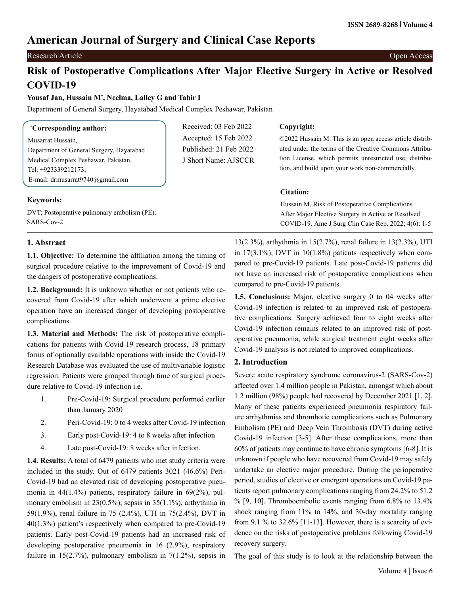# **American Journal of Surgery and Clinical Case Reports**

# Research Article Open Access

# **Risk of Postoperative Complications After Major Elective Surgery in Active or Resolved COVID-19**

### **Yousaf Jan, Hussain M\* , Neelma, Lalley G and Tahir I**

Department of General Surgery, Hayatabad Medical Complex Peshawar, Pakistan

| <i>*Corresponding author:</i>               | Received: 03 Feb 2022  | Copyright:                                               |
|---------------------------------------------|------------------------|----------------------------------------------------------|
| Musarrat Hussain,                           | Accepted: 15 Feb 2022  | ©2022 Hussain M. This is an open access article distrib- |
| Department of General Surgery, Hayatabad    | Published: 21 Feb 2022 | uted under the terms of the Creative Commons Attribu-    |
| Medical Complex Peshawar, Pakistan,         | J Short Name: AJSCCR   | tion License, which permits unrestricted use, distribu-  |
| Tel: +923339212173;                         |                        | tion, and build upon your work non-commercially.         |
| E-mail: drmusarrat $9740$ @gmail.com        |                        |                                                          |
|                                             |                        | Citation:                                                |
| <b>Keywords:</b>                            |                        | Hussain M, Risk of Postoperative Complications           |
| DVT; Postoperative pulmonary embolism (PE); |                        | After Major Elective Surgery in Active or Resolved       |

DVT; Postoperative pulmonary embolism (PE); SARS-Cov-2

## **1. Abstract**

**1.1. Objective:** To determine the affiliation among the timing of surgical procedure relative to the improvement of Covid-19 and the dangers of postoperative complications.

**1.2. Background:** It is unknown whether or not patients who recovered from Covid-19 after which underwent a prime elective operation have an increased danger of developing postoperative complications.

**1.3. Material and Methods:** The risk of postoperative complications for patients with Covid-19 research process, 18 primary forms of optionally available operations with inside the Covid-19 Research Database was evaluated the use of multivariable logistic regression. Patients were grouped through time of surgical procedure relative to Covid-19 infection i.e.

- 1. Pre-Covid-19: Surgical procedure performed earlier than January 2020
- 2. Peri-Covid-19: 0 to 4 weeks after Covid-19 infection
- 3. Early post-Covid-19: 4 to 8 weeks after infection
- 4. Late post-Covid-19: 8 weeks after infection.

**1.4. Results:** A total of 6479 patients who met study criteria were included in the study. Out of 6479 patients 3021 (46.6%) Peri-Covid-19 had an elevated risk of developing postoperative pneumonia in 44(1.4%) patients, respiratory failure in 69(2%), pulmonary embolism in 23(0.5%), sepsis in 35(1.1%), arthythmia in 59(1.9%), renal failure in 75 (2.4%), UTI in 75(2.4%), DVT in 40(1.3%) patient's respectively when compared to pre-Covid-19 patients. Early post-Covid-19 patients had an increased risk of developing postoperative pneumonia in 16 (2.9%), respiratory failure in  $15(2.7%)$ , pulmonary embolism in  $7(1.2%)$ , sepsis in

13(2.3%), arthythmia in 15(2.7%), renal failure in 13(2.3%), UTI in  $17(3.1\%)$ , DVT in  $10(1.8\%)$  patients respectively when compared to pre-Covid-19 patients. Late post-Covid-19 patients did not have an increased risk of postoperative complications when compared to pre-Covid-19 patients.

COVID-19. Ame J Surg Clin Case Rep. 2022; 4(6): 1-5

**1.5. Conclusions:** Major, elective surgery 0 to 04 weeks after Covid-19 infection is related to an improved risk of postoperative complications. Surgery achieved four to eight weeks after Covid-19 infection remains related to an improved risk of postoperative pneumonia, while surgical treatment eight weeks after Covid-19 analysis is not related to improved complications.

## **2. Introduction**

Severe acute respiratory syndrome coronavirus-2 (SARS-Cov-2) affected over 1.4 million people in Pakistan, amongst which about 1.2 million (98%) people had recovered by December 2021 [1, 2]. Many of these patients experienced pneumonia respiratory failure arrhythmias and thrombotic complications such as Pulmonary Embolism (PE) and Deep Vein Thrombosis (DVT) during active Covid-19 infection [3-5]. After these complications, more than 60% of patients may continue to have chronic symptoms [6-8]. It is unknown if people who have recovered from Covid-19 may safely undertake an elective major procedure. During the perioperative period, studies of elective or emergent operations on Covid-19 patients report pulmonary complications ranging from 24.2% to 51.2  $%$  [9, 10]. Thromboembolic events ranging from 6.8% to 13.4% shock ranging from 11% to 14%, and 30-day mortality ranging from 9.1 % to 32.6% [11-13]. However, there is a scarcity of evidence on the risks of postoperative problems following Covid-19 recovery surgery.

The goal of this study is to look at the relationship between the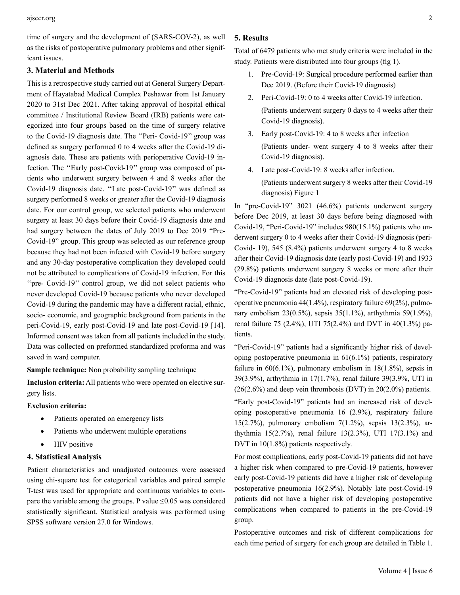time of surgery and the development of (SARS-COV-2), as well as the risks of postoperative pulmonary problems and other significant issues.

#### **3. Material and Methods**

This is a retrospective study carried out at General Surgery Department of Hayatabad Medical Complex Peshawar from 1st January 2020 to 31st Dec 2021. After taking approval of hospital ethical committee / Institutional Review Board (IRB) patients were categorized into four groups based on the time of surgery relative to the Covid-19 diagnosis date. The ''Peri- Covid-19'' group was defined as surgery performed 0 to 4 weeks after the Covid-19 diagnosis date. These are patients with perioperative Covid-19 infection. The ''Early post-Covid-19'' group was composed of patients who underwent surgery between 4 and 8 weeks after the Covid-19 diagnosis date. ''Late post-Covid-19'' was defined as surgery performed 8 weeks or greater after the Covid-19 diagnosis date. For our control group, we selected patients who underwent surgery at least 30 days before their Covid-19 diagnosis date and had surgery between the dates of July 2019 to Dec 2019 "Pre-Covid-19" group. This group was selected as our reference group because they had not been infected with Covid-19 before surgery and any 30-day postoperative complication they developed could not be attributed to complications of Covid-19 infection. For this "pre- Covid-19" control group, we did not select patients who never developed Covid-19 because patients who never developed Covid-19 during the pandemic may have a different racial, ethnic, socio- economic, and geographic background from patients in the peri-Covid-19, early post-Covid-19 and late post-Covid-19 [14]. Informed consent was taken from all patients included in the study. Data was collected on preformed standardized proforma and was saved in ward computer.

**Sample technique:** Non probability sampling technique

**Inclusion criteria:** All patients who were operated on elective surgery lists.

#### **Exclusion criteria:**

- Patients operated on emergency lists
- Patients who underwent multiple operations
- **HIV** positive

#### **4. Statistical Analysis**

Patient characteristics and unadjusted outcomes were assessed using chi-square test for categorical variables and paired sample T-test was used for appropriate and continuous variables to compare the variable among the groups. P value  $\leq 0.05$  was considered statistically significant. Statistical analysis was performed using SPSS software version 27.0 for Windows.

#### **5. Results**

Total of 6479 patients who met study criteria were included in the study. Patients were distributed into four groups (fig 1).

- 1. Pre-Covid-19: Surgical procedure performed earlier than Dec 2019. (Before their Covid-19 diagnosis)
- 2. Peri-Covid-19: 0 to 4 weeks after Covid-19 infection. (Patients underwent surgery 0 days to 4 weeks after their Covid-19 diagnosis).
- 3. Early post-Covid-19: 4 to 8 weeks after infection (Patients under- went surgery 4 to 8 weeks after their Covid-19 diagnosis).
- 4. Late post-Covid-19: 8 weeks after infection. (Patients underwent surgery 8 weeks after their Covid-19 diagnosis) Figure 1

In "pre-Covid-19" 3021 (46.6%) patients underwent surgery before Dec 2019, at least 30 days before being diagnosed with Covid-19, "Peri-Covid-19" includes 980(15.1%) patients who underwent surgery 0 to 4 weeks after their Covid-19 diagnosis (peri-Covid- 19), 545 (8.4%) patients underwent surgery 4 to 8 weeks after their Covid-19 diagnosis date (early post-Covid-19) and 1933 (29.8%) patients underwent surgery 8 weeks or more after their Covid-19 diagnosis date (late post-Covid-19).

"Pre-Covid-19" patients had an elevated risk of developing postoperative pneumonia 44(1.4%), respiratory failure 69(2%), pulmonary embolism 23(0.5%), sepsis 35(1.1%), arthythmia 59(1.9%), renal failure 75 (2.4%), UTI 75(2.4%) and DVT in 40(1.3%) patients.

"Peri-Covid-19" patients had a significantly higher risk of developing postoperative pneumonia in 61(6.1%) patients, respiratory failure in  $60(6.1\%)$ , pulmonary embolism in  $18(1.8\%)$ , sepsis in 39(3.9%), arthythmia in 17(1.7%), renal failure 39(3.9%, UTI in  $(26(2.6\%)$  and deep vein thrombosis (DVT) in  $20(2.0\%)$  patients.

"Early post-Covid-19" patients had an increased risk of developing postoperative pneumonia 16 (2.9%), respiratory failure 15(2.7%), pulmonary embolism 7(1.2%), sepsis 13(2.3%), arthythmia 15(2.7%), renal failure 13(2.3%), UTI 17(3.1%) and DVT in 10(1.8%) patients respectively.

For most complications, early post-Covid-19 patients did not have a higher risk when compared to pre-Covid-19 patients, however early post-Covid-19 patients did have a higher risk of developing postoperative pneumonia 16(2.9%). Notably late post-Covid-19 patients did not have a higher risk of developing postoperative complications when compared to patients in the pre-Covid-19 group.

Postoperative outcomes and risk of different complications for each time period of surgery for each group are detailed in Table 1.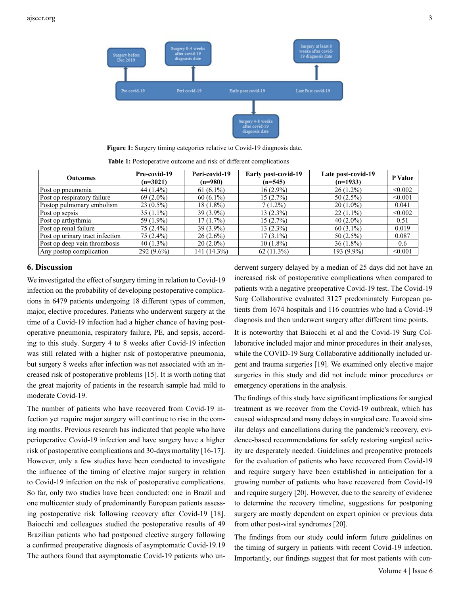

**Figure 1:** Surgery timing categories relative to Covid-19 diagnosis date.

**Table 1:** Postoperative outcome and risk of different complications

| <b>Outcomes</b>                 | Pre-covid-19 | Peri-covid-19 | Early post-covid-19 | Late post-covid-19 | <b>P</b> Value |
|---------------------------------|--------------|---------------|---------------------|--------------------|----------------|
|                                 | $(n=3021)$   | $(n=980)$     | $(n=545)$           | $(n=1933)$         |                |
| Post op pneumonia               | 44 $(1.4\%)$ | $61(6.1\%)$   | $16(2.9\%)$         | $26(1.2\%)$        | < 0.002        |
| Post op respiratory failure     | $69(2.0\%)$  | $60(6.1\%)$   | 15(2.7%)            | $50(2.5\%)$        | < 0.001        |
| Postop pulmonary embolism       | $23(0.5\%)$  | $18(1.8\%)$   | $7(1.2\%)$          | $20(1.0\%)$        | 0.041          |
| Post op sepsis                  | $35(1.1\%)$  | $39(3.9\%)$   | $13(2.3\%)$         | $22(1.1\%)$        | < 0.002        |
| Post op arthythmia              | 59 (1.9%)    | 17(1.7%)      | $15(2.7\%)$         | $40(2.0\%)$        | 0.51           |
| Post op renal failure           | $75(2.4\%)$  | $39(3.9\%)$   | $13(2.3\%)$         | $60(3.1\%)$        | 0.019          |
| Post op urinary tract infection | $75(2.4\%)$  | $26(2.6\%)$   | $17(3.1\%)$         | $50(2.5\%)$        | 0.087          |
| Post op deep vein thrombosis    | $40(1.3\%)$  | $20(2.0\%)$   | $10(1.8\%)$         | $36(1.8\%)$        | 0.6            |
| Any postop complication         | $292(9.6\%)$ | 141 (14.3%)   | $62(11.3\%)$        | 193 (9.9%)         | < 0.001        |

#### **6. Discussion**

We investigated the effect of surgery timing in relation to Covid-19 infection on the probability of developing postoperative complications in 6479 patients undergoing 18 different types of common, major, elective procedures. Patients who underwent surgery at the time of a Covid-19 infection had a higher chance of having postoperative pneumonia, respiratory failure, PE, and sepsis, according to this study. Surgery 4 to 8 weeks after Covid-19 infection was still related with a higher risk of postoperative pneumonia, but surgery 8 weeks after infection was not associated with an increased risk of postoperative problems [15]. It is worth noting that the great majority of patients in the research sample had mild to moderate Covid-19.

The number of patients who have recovered from Covid-19 infection yet require major surgery will continue to rise in the coming months. Previous research has indicated that people who have perioperative Covid-19 infection and have surgery have a higher risk of postoperative complications and 30-days mortality [16-17]. However, only a few studies have been conducted to investigate the influence of the timing of elective major surgery in relation to Covid-19 infection on the risk of postoperative complications. So far, only two studies have been conducted: one in Brazil and one multicenter study of predominantly European patients assessing postoperative risk following recovery after Covid-19 [18]. Baiocchi and colleagues studied the postoperative results of 49 Brazilian patients who had postponed elective surgery following a confirmed preoperative diagnosis of asymptomatic Covid-19.19 The authors found that asymptomatic Covid-19 patients who underwent surgery delayed by a median of 25 days did not have an increased risk of postoperative complications when compared to patients with a negative preoperative Covid-19 test. The Covid-19 Surg Collaborative evaluated 3127 predominately European patients from 1674 hospitals and 116 countries who had a Covid-19 diagnosis and then underwent surgery after different time points.

It is noteworthy that Baiocchi et al and the Covid-19 Surg Collaborative included major and minor procedures in their analyses, while the COVID-19 Surg Collaborative additionally included urgent and trauma surgeries [19]. We examined only elective major surgeries in this study and did not include minor procedures or emergency operations in the analysis.

The findings of this study have significant implications for surgical treatment as we recover from the Covid-19 outbreak, which has caused widespread and many delays in surgical care. To avoid similar delays and cancellations during the pandemic's recovery, evidence-based recommendations for safely restoring surgical activity are desperately needed. Guidelines and preoperative protocols for the evaluation of patients who have recovered from Covid-19 and require surgery have been established in anticipation for a growing number of patients who have recovered from Covid-19 and require surgery [20]. However, due to the scarcity of evidence to determine the recovery timeline, suggestions for postponing surgery are mostly dependent on expert opinion or previous data from other post-viral syndromes [20].

The findings from our study could inform future guidelines on the timing of surgery in patients with recent Covid-19 infection. Importantly, our findings suggest that for most patients with con-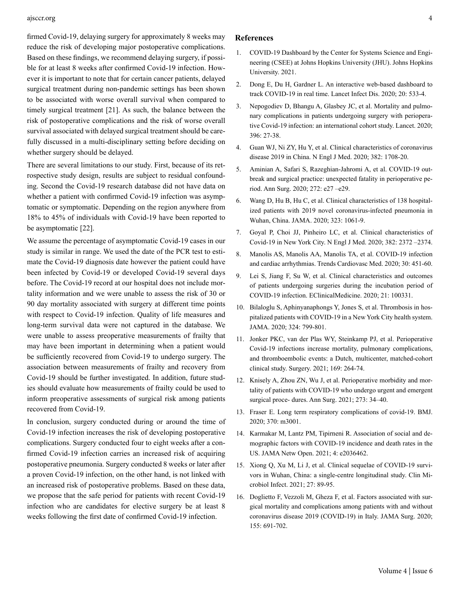#### ajsccr.org 4

firmed Covid-19, delaying surgery for approximately 8 weeks may reduce the risk of developing major postoperative complications. Based on these findings, we recommend delaying surgery, if possible for at least 8 weeks after confirmed Covid-19 infection. However it is important to note that for certain cancer patients, delayed surgical treatment during non-pandemic settings has been shown to be associated with worse overall survival when compared to timely surgical treatment [21]. As such, the balance between the risk of postoperative complications and the risk of worse overall survival associated with delayed surgical treatment should be carefully discussed in a multi-disciplinary setting before deciding on whether surgery should be delayed.

There are several limitations to our study. First, because of its retrospective study design, results are subject to residual confounding. Second the Covid-19 research database did not have data on whether a patient with confirmed Covid-19 infection was asymptomatic or symptomatic. Depending on the region anywhere from 18% to 45% of individuals with Covid-19 have been reported to be asymptomatic [22].

We assume the percentage of asymptomatic Covid-19 cases in our study is similar in range. We used the date of the PCR test to estimate the Covid-19 diagnosis date however the patient could have been infected by Covid-19 or developed Covid-19 several days before. The Covid-19 record at our hospital does not include mortality information and we were unable to assess the risk of 30 or 90 day mortality associated with surgery at different time points with respect to Covid-19 infection. Quality of life measures and long-term survival data were not captured in the database. We were unable to assess preoperative measurements of frailty that may have been important in determining when a patient would be sufficiently recovered from Covid-19 to undergo surgery. The association between measurements of frailty and recovery from Covid-19 should be further investigated. In addition, future studies should evaluate how measurements of frailty could be used to inform preoperative assessments of surgical risk among patients recovered from Covid-19.

In conclusion, surgery conducted during or around the time of Covid-19 infection increases the risk of developing postoperative complications. Surgery conducted four to eight weeks after a confirmed Covid-19 infection carries an increased risk of acquiring postoperative pneumonia. Surgery conducted 8 weeks or later after a proven Covid-19 infection, on the other hand, is not linked with an increased risk of postoperative problems. Based on these data, we propose that the safe period for patients with recent Covid-19 infection who are candidates for elective surgery be at least 8 weeks following the first date of confirmed Covid-19 infection.

#### **References**

- 1. COVID-19 Dashboard by the Center for Systems Science and Engineering (CSEE) at Johns Hopkins University (JHU). Johns Hopkins University. 2021.
- 2. [Dong E, Du H, Gardner L. An interactive web-based dashboard to](https://pubmed.ncbi.nlm.nih.gov/32087114/)  [track COVID-19 in real time. Lancet Infect Dis. 2020; 20: 533-4.](https://pubmed.ncbi.nlm.nih.gov/32087114/)
- 3. [Nepogodiev D, Bhangu A, Glasbey JC, et al. Mortality and pulmo](https://pubmed.ncbi.nlm.nih.gov/32479829/)[nary complications in patients undergoing surgery with periopera](https://pubmed.ncbi.nlm.nih.gov/32479829/)[tive Covid-19 infection: an international cohort study. Lancet. 2020;](https://pubmed.ncbi.nlm.nih.gov/32479829/) [396: 27-38.](https://pubmed.ncbi.nlm.nih.gov/32479829/)
- 4. [Guan WJ, Ni ZY, Hu Y, et al. Clinical characteristics of coronavirus](https://www.nejm.org/doi/full/10.1056/nejmoa2002032)  [disease 2019 in China. N Engl J Med. 2020; 382: 1708-20.](https://www.nejm.org/doi/full/10.1056/nejmoa2002032)
- 5. [Aminian A, Safari S, Razeghian-Jahromi A, et al. COVID-19 out](https://pubmed.ncbi.nlm.nih.gov/32221117/)[break and surgical practice: unexpected fatality in perioperative pe](https://pubmed.ncbi.nlm.nih.gov/32221117/)[riod. Ann Surg. 2020; 272: e27 –e29.](https://pubmed.ncbi.nlm.nih.gov/32221117/)
- 6. [Wang D, Hu B, Hu C, et al. Clinical characteristics of 138 hospital](https://pubmed.ncbi.nlm.nih.gov/32031570/)[ized patients with 2019 novel coronavirus-infected pneumonia in](https://pubmed.ncbi.nlm.nih.gov/32031570/) [Wuhan, China. JAMA. 2020; 323: 1061-9.](https://pubmed.ncbi.nlm.nih.gov/32031570/)
- 7. [Goyal P, Choi JJ, Pinheiro LC, et al. Clinical characteristics of](https://pubmed.ncbi.nlm.nih.gov/32302078/) [Covid-19 in New York City. N Engl J Med. 2020; 382: 2372 –2374.](https://pubmed.ncbi.nlm.nih.gov/32302078/)
- 8. [Manolis AS, Manolis AA, Manolis TA, et al. COVID-19 infection](https://pubmed.ncbi.nlm.nih.gov/32814095/) [and cardiac arrhythmias. Trends Cardiovasc Med. 2020; 30: 451-60.](https://pubmed.ncbi.nlm.nih.gov/32814095/)
- 9. [Lei S, Jiang F, Su W, et al. Clinical characteristics and outcomes](https://pubmed.ncbi.nlm.nih.gov/32292899/)  [of patients undergoing surgeries during the incubation period of](https://pubmed.ncbi.nlm.nih.gov/32292899/) [COVID-19 infection. EClinicalMedicine. 2020; 21: 100331.](https://pubmed.ncbi.nlm.nih.gov/32292899/)
- 10. [Bilaloglu S, Aphinyanaphongs Y, Jones S, et al. Thrombosis in hos](https://pubmed.ncbi.nlm.nih.gov/32702090/)[pitalized patients with COVID-19 in a New York City health system.](https://pubmed.ncbi.nlm.nih.gov/32702090/)  [JAMA. 2020; 324: 799-801.](https://pubmed.ncbi.nlm.nih.gov/32702090/)
- 11. [Jonker PKC, van der Plas WY, Steinkamp PJ, et al. Perioperative](https://www.ncbi.nlm.nih.gov/pmc/articles/PMC7513767/) [Covid-19 infections increase mortality, pulmonary complications,](https://www.ncbi.nlm.nih.gov/pmc/articles/PMC7513767/) [and thromboembolic events: a Dutch, multicenter, matched-cohort](https://www.ncbi.nlm.nih.gov/pmc/articles/PMC7513767/) [clinical study. Surgery. 2021; 169: 264-74.](https://www.ncbi.nlm.nih.gov/pmc/articles/PMC7513767/)
- 12. [Knisely A, Zhou ZN, Wu J, et al. Perioperative morbidity and mor](https://pubmed.ncbi.nlm.nih.gov/33074900/)[tality of patients with COVID-19 who undergo urgent and emergent](https://pubmed.ncbi.nlm.nih.gov/33074900/)  [surgical proce- dures. Ann Surg. 2021; 273: 34–40.](https://pubmed.ncbi.nlm.nih.gov/33074900/)
- 13. [Fraser E. Long term respiratory complications of covid-19. BMJ.](https://pubmed.ncbi.nlm.nih.gov/32747332/) [2020; 370: m3001.](https://pubmed.ncbi.nlm.nih.gov/32747332/)
- 14. [Karmakar M, Lantz PM, Tipirneni R. Association of social and de](https://pubmed.ncbi.nlm.nih.gov/33512520/)[mographic factors with COVID-19 incidence and death rates in the](https://pubmed.ncbi.nlm.nih.gov/33512520/) [US. JAMA Netw Open. 2021; 4: e2036462.](https://pubmed.ncbi.nlm.nih.gov/33512520/)
- 15. [Xiong Q, Xu M, Li J, et al. Clinical sequelae of COVID-19 survi](https://pubmed.ncbi.nlm.nih.gov/32979574/)[vors in Wuhan, China: a single-centre longitudinal study. Clin Mi](https://pubmed.ncbi.nlm.nih.gov/32979574/)[crobiol Infect. 2021; 27: 89-95.](https://pubmed.ncbi.nlm.nih.gov/32979574/)
- 16. [Doglietto F, Vezzoli M, Gheza F, et al. Factors associated with sur](https://pubmed.ncbi.nlm.nih.gov/32530453/)[gical mortality and complications among patients with and without](https://pubmed.ncbi.nlm.nih.gov/32530453/) [coronavirus disease 2019 \(COVID-19\) in Italy. JAMA Surg. 2020;](https://pubmed.ncbi.nlm.nih.gov/32530453/) [155: 691-702.](https://pubmed.ncbi.nlm.nih.gov/32530453/)